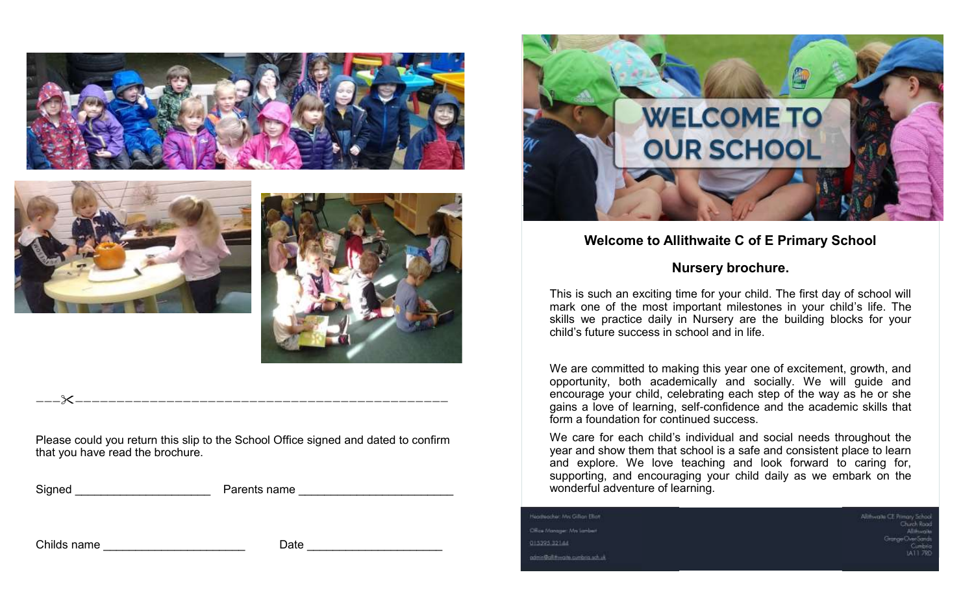





Please could you return this slip to the School Office signed and dated to confirm that you have read the brochure.

————————————————————————————————————————————————

 $\blacksquare$  irents name  $\blacksquare$ 

Childs name **Example 20** and the Date of Date  $\overline{a}$ 



# **Welcome to Allithwaite C of E Primary School**

# **Nursery brochure.**

This is such an exciting time for your child. The first day of school will mark one of the most important milestones in your child's life. The skills we practice daily in Nursery are the building blocks for your child's future success in school and in life.

We are committed to making this year one of excitement, growth, and opportunity, both academically and socially. We will guide and encourage your child, celebrating each step of the way as he or she gains a love of learning, self-confidence and the academic skills that form a foundation for continued success.

We care for each child's individual and social needs throughout the year and show them that school is a safe and consistent place to learn and explore. We love teaching and look forward to caring for, supporting, and encouraging your child daily as we embark on the wonderful adventure of learning.

teampacher: Mis Gilton Elion Office Monogan Mrs Lamblert 015395-32144 admin@alittiwarts.cumbing.sch.uk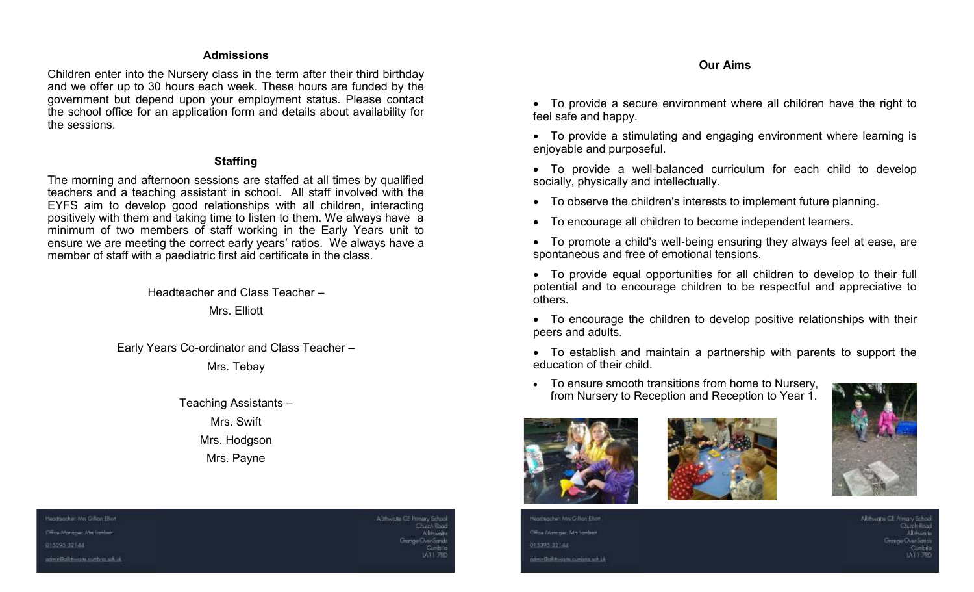#### **Admissions**

Children enter into the Nursery class in the term after their third birthday and we offer up to 30 hours each week. These hours are funded by the government but depend upon your employment status. Please contact the school office for an application form and details about availability for the sessions.

#### **Staffing**

The morning and afternoon sessions are staffed at all times by qualified teachers and a teaching assistant in school. All staff involved with the EYFS aim to develop good relationships with all children, interacting positively with them and taking time to listen to them. We always have a minimum of two members of staff working in the Early Years unit to ensure we are meeting the correct early years' ratios. We always have a member of staff with a paediatric first aid certificate in the class.

> Headteacher and Class Teacher – Mrs. Elliott

Early Years Co-ordinator and Class Teacher –

Mrs. Tebay

Teaching Assistants – Mrs. Swift Mrs. Hodgson Mrs. Payne

#### **Our Aims**

• To provide a secure environment where all children have the right to feel safe and happy.

• To provide a stimulating and engaging environment where learning is enjoyable and purposeful.

- To provide a well-balanced curriculum for each child to develop socially, physically and intellectually.
- To observe the children's interests to implement future planning.
- To encourage all children to become independent learners.
- To promote a child's well-being ensuring they always feel at ease, are spontaneous and free of emotional tensions.
- To provide equal opportunities for all children to develop to their full potential and to encourage children to be respectful and appreciative to others.
- To encourage the children to develop positive relationships with their peers and adults.
- To establish and maintain a partnership with parents to support the education of their child.
- To ensure smooth transitions from home to Nursery, from Nursery to Reception and Reception to Year 1.







eadteacher: Mrs Gillian Ellian Office Monoger Mrs Lambert 015395-32144 admin@alut-waite.cumbing.sch.uk Vilithwaite CE Pirmary Scho Thurch Rock

Heathsacher: Mrs Gillian Ellion Office Monoger Mrs Lambert 01539532144 admin@aiutiwaith.cumbing.sch.uk Altitragile CE Primary Schoo Check Rood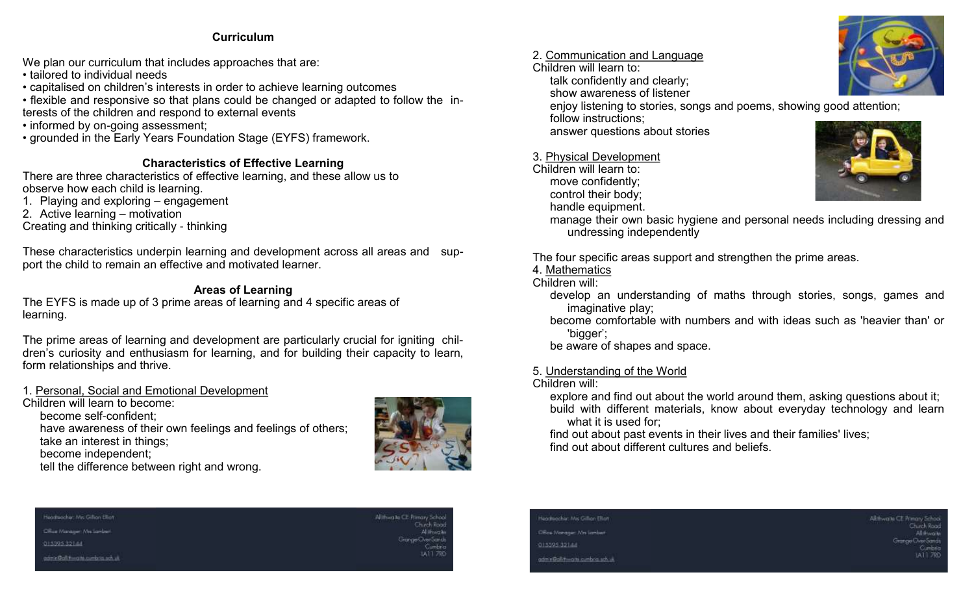## **Curriculum**

We plan our curriculum that includes approaches that are:

• tailored to individual needs

- capitalised on children's interests in order to achieve learning outcomes
- flexible and responsive so that plans could be changed or adapted to follow the interests of the children and respond to external events
- informed by on-going assessment;
- grounded in the Early Years Foundation Stage (EYFS) framework.

## **Characteristics of Effective Learning**

There are three characteristics of effective learning, and these allow us to observe how each child is learning.

- 1. Playing and exploring engagement
- 2. Active learning motivation
- Creating and thinking critically thinking

These characteristics underpin learning and development across all areas and support the child to remain an effective and motivated learner.

## **Areas of Learning**

The EYFS is made up of 3 prime areas of learning and 4 specific areas of learning.

The prime areas of learning and development are particularly crucial for igniting children's curiosity and enthusiasm for learning, and for building their capacity to learn, form relationships and thrive.

## 1. Personal, Social and Emotional Development

Children will learn to become:

become self-confident;

have awareness of their own feelings and feelings of others;

take an interest in things;

become independent;

tell the difference between right and wrong.



## 2. Communication and Language

Children will learn to: talk confidently and clearly;

show awareness of listener

enjoy listening to stories, songs and poems, showing good attention; follow instructions;

answer questions about stories

## 3. Physical Development

Children will learn to: move confidently; control their body;



handle equipment. manage their own basic hygiene and personal needs including dressing and undressing independently

The four specific areas support and strengthen the prime areas.

4. Mathematics

Children will:

- develop an understanding of maths through stories, songs, games and imaginative play;
- become comfortable with numbers and with ideas such as 'heavier than' or 'bigger';

be aware of shapes and space.

5. Understanding of the World

## Children will:

explore and find out about the world around them, asking questions about it; build with different materials, know about everyday technology and learn what it is used for;

find out about past events in their lives and their families' lives; find out about different cultures and beliefs.



Office Monoger Mrs (prider)

01539532144

admin@aluttimalth.cumbria.sch.uk

Alliftwaite CE Primary School



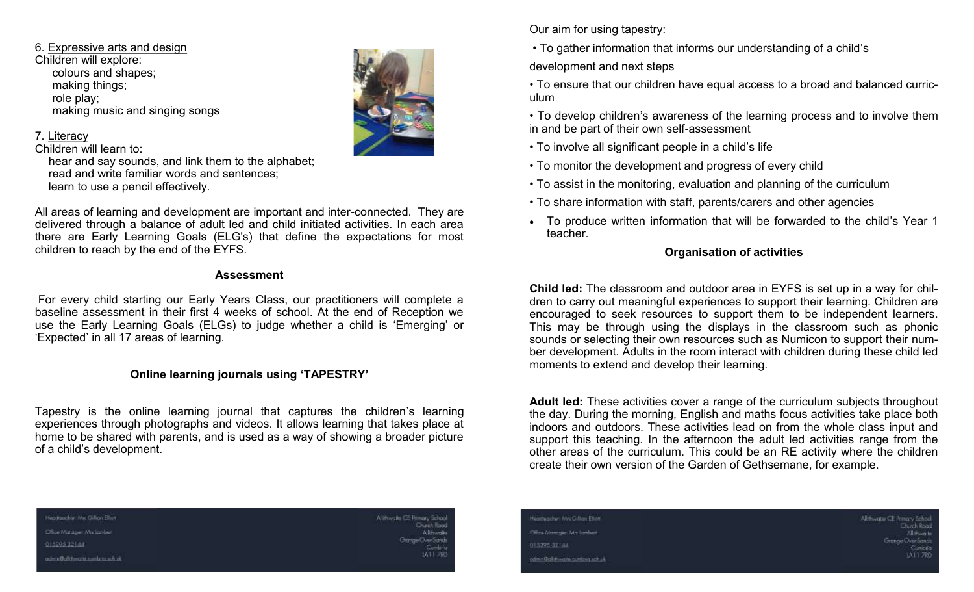6. Expressive arts and design Children will explore: colours and shapes; making things; role play; making music and singing songs

## 7. Literacy

Children will learn to:

hear and say sounds, and link them to the alphabet; read and write familiar words and sentences; learn to use a pencil effectively.

All areas of learning and development are important and inter-connected. They are delivered through a balance of adult led and child initiated activities. In each area there are Early Learning Goals (ELG's) that define the expectations for most children to reach by the end of the EYFS.

### **Assessment**

For every child starting our Early Years Class, our practitioners will complete a baseline assessment in their first 4 weeks of school. At the end of Reception we use the Early Learning Goals (ELGs) to judge whether a child is 'Emerging' or 'Expected' in all 17 areas of learning.

## **Online learning journals using 'TAPESTRY'**

Tapestry is the online learning journal that captures the children's learning experiences through photographs and videos. It allows learning that takes place at home to be shared with parents, and is used as a way of showing a broader picture of a child's development.

Our aim for using tapestry:

• To gather information that informs our understanding of a child's

development and next steps

• To ensure that our children have equal access to a broad and balanced curriculum

• To develop children's awareness of the learning process and to involve them in and be part of their own self-assessment

- To involve all significant people in a child's life
- To monitor the development and progress of every child
- To assist in the monitoring, evaluation and planning of the curriculum
- To share information with staff, parents/carers and other agencies
- To produce written information that will be forwarded to the child's Year 1 teacher.

## **Organisation of activities**

**Child led:** The classroom and outdoor area in EYFS is set up in a way for children to carry out meaningful experiences to support their learning. Children are encouraged to seek resources to support them to be independent learners. This may be through using the displays in the classroom such as phonic sounds or selecting their own resources such as Numicon to support their number development. Adults in the room interact with children during these child led moments to extend and develop their learning.

**Adult led:** These activities cover a range of the curriculum subjects throughout the day. During the morning, English and maths focus activities take place both indoors and outdoors. These activities lead on from the whole class input and support this teaching. In the afternoon the adult led activities range from the other areas of the curriculum. This could be an RE activity where the children create their own version of the Garden of Gethsemane, for example.

Heathscher: Mis Gillian Ellion

Office Monoger Mn Lambert

013395-32144

admin@alittiwarth.cumbing.sch.uk

Altitragile CE Primary School Chuch Rocal

feathsacher: Mrs Gillian Elion Office Monoger: Mrs Lambert 015395-32144 admin@alut-waite.cumbing.sch.uk **Ulithwaite CE Primary Scho** Thurch Roos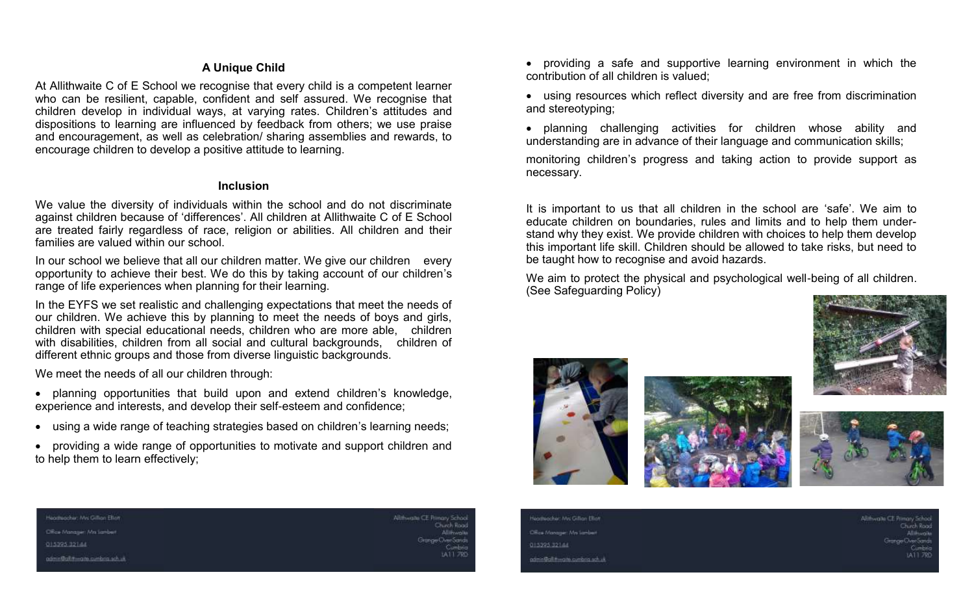#### **A Unique Child**

At Allithwaite C of E School we recognise that every child is a competent learner who can be resilient, capable, confident and self assured. We recognise that children develop in individual ways, at varying rates. Children's attitudes and dispositions to learning are influenced by feedback from others; we use praise and encouragement, as well as celebration/ sharing assemblies and rewards, to encourage children to develop a positive attitude to learning.

#### **Inclusion**

We value the diversity of individuals within the school and do not discriminate against children because of 'differences'. All children at Allithwaite C of E School are treated fairly regardless of race, religion or abilities. All children and their families are valued within our school.

In our school we believe that all our children matter. We give our children every opportunity to achieve their best. We do this by taking account of our children's range of life experiences when planning for their learning.

In the EYFS we set realistic and challenging expectations that meet the needs of our children. We achieve this by planning to meet the needs of boys and girls, children with special educational needs, children who are more able, children with disabilities, children from all social and cultural backgrounds, children of different ethnic groups and those from diverse linguistic backgrounds.

We meet the needs of all our children through:

- planning opportunities that build upon and extend children's knowledge, experience and interests, and develop their self-esteem and confidence;
- using a wide range of teaching strategies based on children's learning needs;
- providing a wide range of opportunities to motivate and support children and to help them to learn effectively;
- providing a safe and supportive learning environment in which the contribution of all children is valued;
- using resources which reflect diversity and are free from discrimination and stereotyping;
- planning challenging activities for children whose ability and understanding are in advance of their language and communication skills;

monitoring children's progress and taking action to provide support as necessary.

It is important to us that all children in the school are 'safe'. We aim to educate children on boundaries, rules and limits and to help them understand why they exist. We provide children with choices to help them develop this important life skill. Children should be allowed to take risks, but need to be taught how to recognise and avoid hazards.

We aim to protect the physical and psychological well-being of all children. (See Safeguarding Policy)









Heathpacher: Mrs Gillian Ellion Office Monoger Mrs Jambler

015395-32144

admin@alittwarts.cumbing.sch.uk

Allihwaite CE Primary School

feathaacher: Mrs Gillian Ellian Office Monoger: Mrs Lambert 015395-32144 anna@aiutiwarte.cumbing.sch.uk Thurch Rock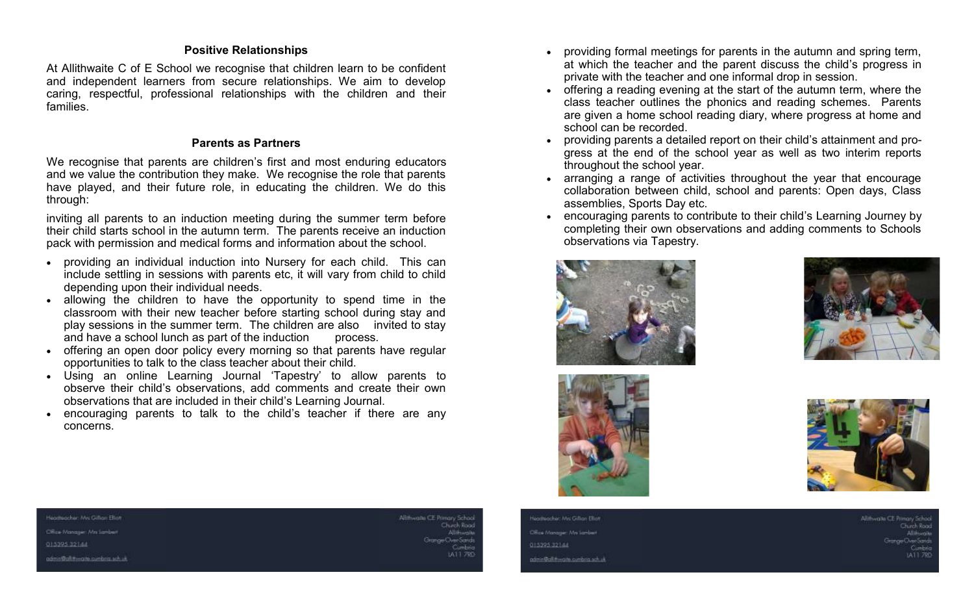#### **Positive Relationships**

At Allithwaite C of E School we recognise that children learn to be confident and independent learners from secure relationships. We aim to develop caring, respectful, professional relationships with the children and their families.

#### **Parents as Partners**

We recognise that parents are children's first and most enduring educators and we value the contribution they make. We recognise the role that parents have played, and their future role, in educating the children. We do this through:

inviting all parents to an induction meeting during the summer term before their child starts school in the autumn term. The parents receive an induction pack with permission and medical forms and information about the school.

- providing an individual induction into Nursery for each child. This can include settling in sessions with parents etc, it will vary from child to child depending upon their individual needs.
- allowing the children to have the opportunity to spend time in the classroom with their new teacher before starting school during stay and play sessions in the summer term. The children are also invited to stay and have a school lunch as part of the induction process.
- offering an open door policy every morning so that parents have regular opportunities to talk to the class teacher about their child.
- Using an online Learning Journal 'Tapestry' to allow parents to observe their child's observations, add comments and create their own observations that are included in their child's Learning Journal.
- encouraging parents to talk to the child's teacher if there are any concerns.
- providing formal meetings for parents in the autumn and spring term, at which the teacher and the parent discuss the child's progress in private with the teacher and one informal drop in session.
- offering a reading evening at the start of the autumn term, where the class teacher outlines the phonics and reading schemes. Parents are given a home school reading diary, where progress at home and school can be recorded.
- providing parents a detailed report on their child's attainment and progress at the end of the school year as well as two interim reports throughout the school year.
- arranging a range of activities throughout the year that encourage collaboration between child, school and parents: Open days, Class assemblies, Sports Day etc.
- encouraging parents to contribute to their child's Learning Journey by completing their own observations and adding comments to Schools observations via Tapestry.









#### Headtaccher: Mrs Gilton Ellion

Cilica Monogan Mrs Sambian

013395-32144

admin@allittiwarth.cumbing.sch.uk

Allihwaite CE Primary School

feathaacher: Mrs Gillian Ellian Office Manager Mrs Lambert 015395-32144 anna@aiutiwarte.cumbing.sch.uk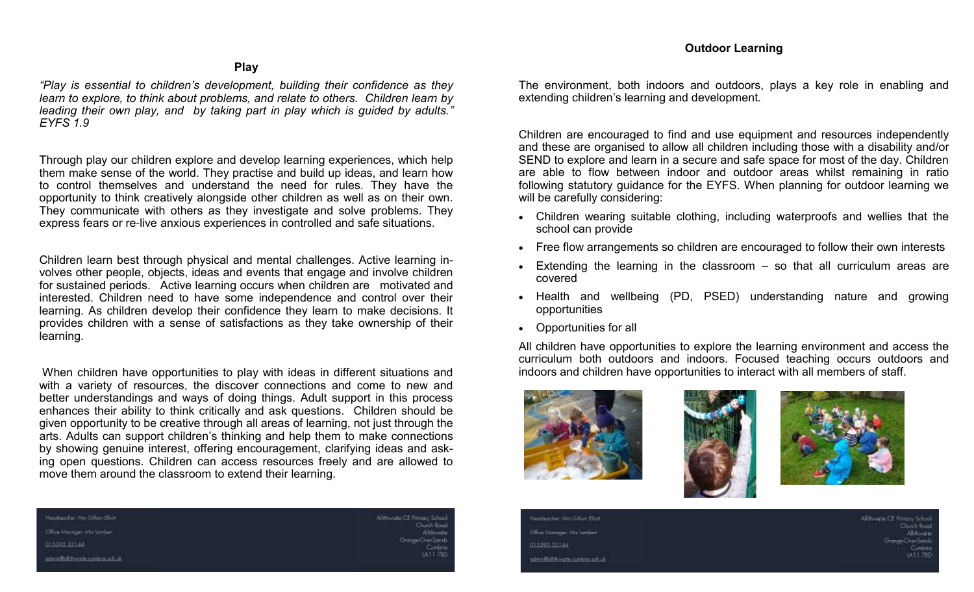### **Play**

*"Play is essential to children's development, building their confidence as they learn to explore, to think about problems, and relate to others. Children learn by leading their own play, and by taking part in play which is guided by adults." EYFS 1.9*

Through play our children explore and develop learning experiences, which help them make sense of the world. They practise and build up ideas, and learn how to control themselves and understand the need for rules. They have the opportunity to think creatively alongside other children as well as on their own. They communicate with others as they investigate and solve problems. They express fears or re-live anxious experiences in controlled and safe situations.

Children learn best through physical and mental challenges. Active learning involves other people, objects, ideas and events that engage and involve children for sustained periods.Active learning occurs when children are motivated and interested. Children need to have some independence and control over their learning. As children develop their confidence they learn to make decisions. It provides children with a sense of satisfactions as they take ownership of their learning.

When children have opportunities to play with ideas in different situations and with a variety of resources, the discover connections and come to new and better understandings and ways of doing things. Adult support in this process enhances their ability to think critically and ask questions. Children should be given opportunity to be creative through all areas of learning, not just through the arts. Adults can support children's thinking and help them to make connections by showing genuine interest, offering encouragement, clarifying ideas and asking open questions. Children can access resources freely and are allowed to move them around the classroom to extend their learning.

The environment, both indoors and outdoors, plays a key role in enabling and extending children's learning and development.

Children are encouraged to find and use equipment and resources independently and these are organised to allow all children including those with a disability and/or SEND to explore and learn in a secure and safe space for most of the day. Children are able to flow between indoor and outdoor areas whilst remaining in ratio following statutory guidance for the EYFS. When planning for outdoor learning we will be carefully considering:

- Children wearing suitable clothing, including waterproofs and wellies that the school can provide
- Free flow arrangements so children are encouraged to follow their own interests
- Extending the learning in the classroom  $-$  so that all curriculum areas are covered
- Health and wellbeing (PD, PSED) understanding nature and growing opportunities
- Opportunities for all

All children have opportunities to explore the learning environment and access the curriculum both outdoors and indoors. Focused teaching occurs outdoors and indoors and children have opportunities to interact with all members of staff.







| teathsacher: Mrs Gillian Elian<br>and the contract of the contract of the contract of the contract of the contract of the contract of the contract of | Allihwaite CE Primary Sch<br>the party of the control of the con-<br>Check R |
|-------------------------------------------------------------------------------------------------------------------------------------------------------|------------------------------------------------------------------------------|
| Office Manager Mrs Lambert                                                                                                                            | Alliene                                                                      |
| 115395-321-44                                                                                                                                         | Grange Civer Sa<br>Cuml                                                      |
| anmin@ail:twank.cumbing.sch.jp.                                                                                                                       | <b>IA117</b>                                                                 |

Headtacher: Mrs Gillian Elliott Office Monoger Mrs Lambert

013395-32144

admin@alittiwarth.cumbing.sch.uk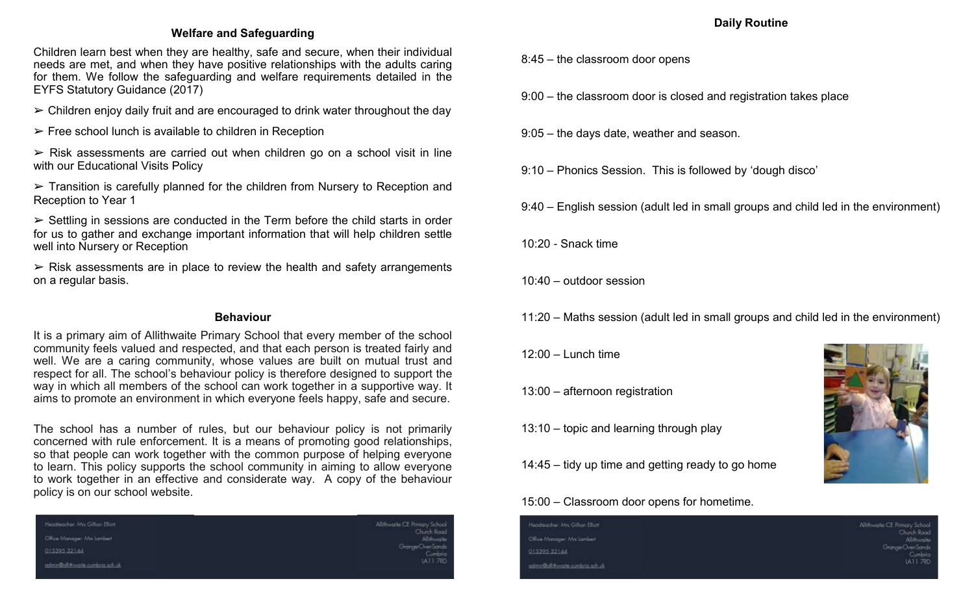## **Welfare and Safeguarding**

Children learn best when they are healthy, safe and secure, when their individual needs are met, and when they have positive relationships with the adults caring for them. We follow the safeguarding and welfare requirements detailed in the EYFS Statutory Guidance (2017)

- $\triangleright$  Children enjoy daily fruit and are encouraged to drink water throughout the day
- $\triangleright$  Free school lunch is available to children in Reception

 $\triangleright$  Risk assessments are carried out when children go on a school visit in line with our Educational Visits Policy

➢ Transition is carefully planned for the children from Nursery to Reception and Reception to Year 1

 $\triangleright$  Settling in sessions are conducted in the Term before the child starts in order for us to gather and exchange important information that will help children settle well into Nursery or Reception

 $\triangleright$  Risk assessments are in place to review the health and safety arrangements on a regular basis.

#### **Behaviour**

It is a primary aim of Allithwaite Primary School that every member of the school community feels valued and respected, and that each person is treated fairly and well. We are a caring community, whose values are built on mutual trust and respect for all. The school's behaviour policy is therefore designed to support the way in which all members of the school can work together in a supportive way. It aims to promote an environment in which everyone feels happy, safe and secure.

The school has a number of rules, but our behaviour policy is not primarily concerned with rule enforcement. It is a means of promoting good relationships, so that people can work together with the common purpose of helping everyone to learn. This policy supports the school community in aiming to allow everyone to work together in an effective and considerate way. A copy of the behaviour policy is on our school website.

| Heathpacher: Mrs Gillian Elliott<br>the company's property and the company's property of the company's property of | Allimyaile CE Primary School<br>and the company of the company of<br>Chirch Rood<br>Alliminative |
|--------------------------------------------------------------------------------------------------------------------|--------------------------------------------------------------------------------------------------|
| Citics Manager Mrs Jambert                                                                                         |                                                                                                  |
| 013395-321-14                                                                                                      | Grange Civer Sands<br>Cumbria                                                                    |
| aamn@ailmaiti.cumbria.sch.uk                                                                                       | 1A11 7RD                                                                                         |

## **Daily Routine**

- 8:45 the classroom door opens
- 9:00 the classroom door is closed and registration takes place
- 9:05 the days date, weather and season.
- 9:10 Phonics Session. This is followed by 'dough disco'
- 9:40 English session (adult led in small groups and child led in the environment)
- 10:20 Snack time
- 10:40 outdoor session
- 11:20 Maths session (adult led in small groups and child led in the environment)
- $12:00 1$  unch time
- 13:00 afternoon registration
- 13:10 topic and learning through play
- 14:45 tidy up time and getting ready to go home

## 15:00 – Classroom door opens for hometime.

| otheocher: Mrs Gillian Elian<br>and the company's the form of the company's company's the company's company's company's the company's company's | Allihwaite CE Primary School<br>the first product of the con-<br>Chirch Road<br>Allimiraile |
|-------------------------------------------------------------------------------------------------------------------------------------------------|---------------------------------------------------------------------------------------------|
| Sca Manager: Mrs Sambert                                                                                                                        |                                                                                             |
| 5395 321 44                                                                                                                                     | Grange Civer Sands<br>Cumbrics                                                              |
| min@aiutweath.cumbing.sch.uk                                                                                                                    | 1A11 7RD                                                                                    |

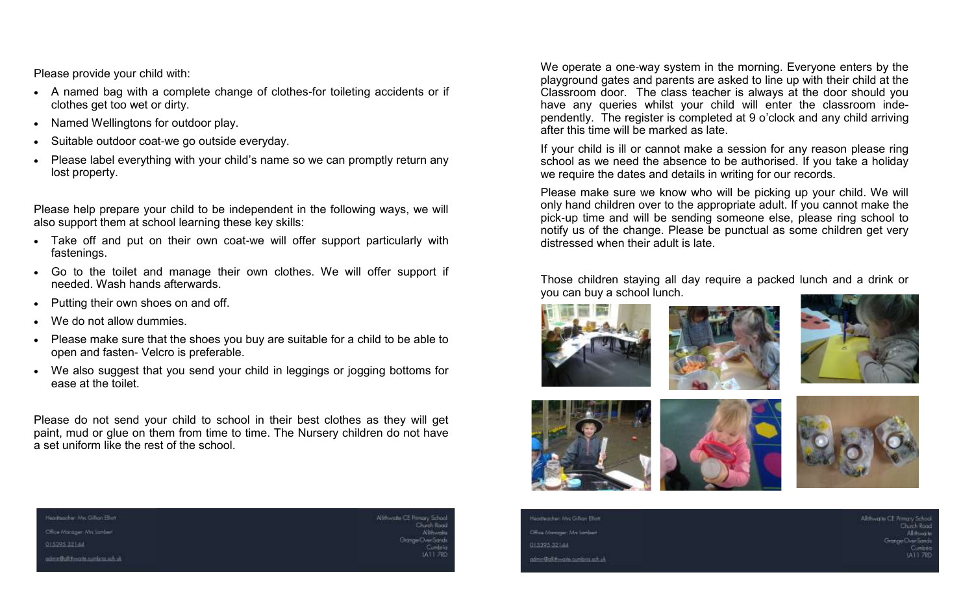Please provide your child with:

- A named bag with a complete change of clothes-for toileting accidents or if clothes get too wet or dirty.
- Named Wellingtons for outdoor play.
- Suitable outdoor coat-we go outside everyday.
- Please label everything with your child's name so we can promptly return any lost property.

Please help prepare your child to be independent in the following ways, we will also support them at school learning these key skills:

- Take off and put on their own coat-we will offer support particularly with fastenings.
- Go to the toilet and manage their own clothes. We will offer support if needed. Wash hands afterwards.
- Putting their own shoes on and off.
- We do not allow dummies
- Please make sure that the shoes you buy are suitable for a child to be able to open and fasten- Velcro is preferable.
- We also suggest that you send your child in leggings or jogging bottoms for ease at the toilet.

Please do not send your child to school in their best clothes as they will get paint, mud or glue on them from time to time. The Nursery children do not have a set uniform like the rest of the school.

We operate a one-way system in the morning. Everyone enters by the playground gates and parents are asked to line up with their child at the Classroom door. The class teacher is always at the door should you have any queries whilst your child will enter the classroom independently. The register is completed at 9 o'clock and any child arriving after this time will be marked as late.

If your child is ill or cannot make a session for any reason please ring school as we need the absence to be authorised. If you take a holiday we require the dates and details in writing for our records.

Please make sure we know who will be picking up your child. We will only hand children over to the appropriate adult. If you cannot make the pick-up time and will be sending someone else, please ring school to notify us of the change. Please be punctual as some children get very distressed when their adult is late.

Those children staying all day require a packed lunch and a drink or you can buy a school lunch.









feathaacher: Mrs Gillian Ellian Office Monoger Mrs Lambert 015395-32144 admin@alut-waite.cumbing.sch.uk

Headtoocher Mis Gillion Elliott Office Monoger Mn Lambert 013395-32144 admin@aluttwarth.cumbing.sch.uk